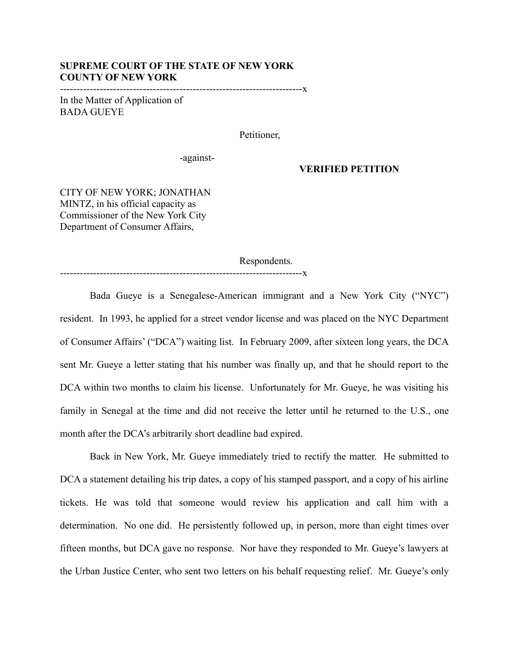## **SUPREME COURT OF THE STATE OF NEW YORK COUNTY OF NEW YORK**

-------------------------------------------------------------------------x

In the Matter of Application of BADA GUEYE

Petitioner,

-against-

## **VERIFIED PETITION**

CITY OF NEW YORK; JONATHAN MINTZ, in his official capacity as Commissioner of the New York City Department of Consumer Affairs,

Respondents.

-------------------------------------------------------------------------x

Bada Gueye is a Senegalese-American immigrant and a New York City ("NYC") resident. In 1993, he applied for a street vendor license and was placed on the NYC Department of Consumer Affairs' ("DCA") waiting list. In February 2009, after sixteen long years, the DCA sent Mr. Gueye a letter stating that his number was finally up, and that he should report to the DCA within two months to claim his license. Unfortunately for Mr. Gueye, he was visiting his family in Senegal at the time and did not receive the letter until he returned to the U.S., one month after the DCA's arbitrarily short deadline had expired.

Back in New York, Mr. Gueye immediately tried to rectify the matter. He submitted to DCA a statement detailing his trip dates, a copy of his stamped passport, and a copy of his airline tickets. He was told that someone would review his application and call him with a determination. No one did. He persistently followed up, in person, more than eight times over fifteen months, but DCA gave no response. Nor have they responded to Mr. Gueye's lawyers at the Urban Justice Center, who sent two letters on his behalf requesting relief. Mr. Gueye's only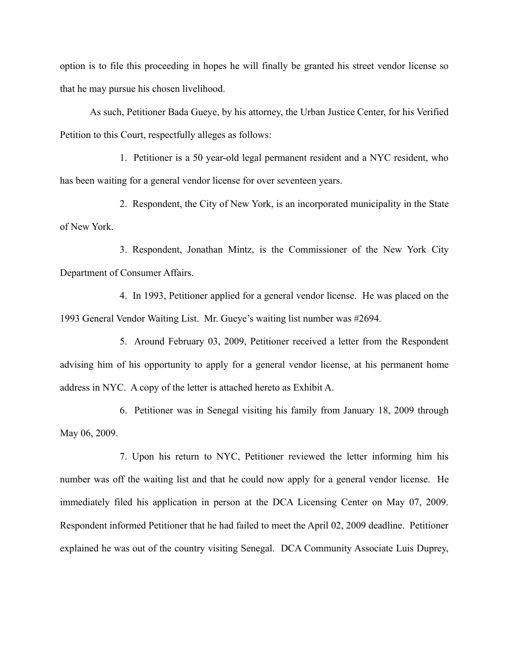option is to file this proceeding in hopes he will finally be granted his street vendor license so that he may pursue his chosen livelihood.

As such, Petitioner Bada Gueye, by his attorney, the Urban Justice Center, for his Verified Petition to this Court, respectfully alleges as follows:

1. Petitioner is a 50 year-old legal permanent resident and a NYC resident, who has been waiting for a general vendor license for over seventeen years.

2. Respondent, the City of New York, is an incorporated municipality in the State of New York.

3. Respondent, Jonathan Mintz, is the Commissioner of the New York City Department of Consumer Affairs.

4. In 1993, Petitioner applied for a general vendor license. He was placed on the 1993 General Vendor Waiting List. Mr. Gueye's waiting list number was #2694.

5. Around February 03, 2009, Petitioner received a letter from the Respondent advising him of his opportunity to apply for a general vendor license, at his permanent home address in NYC. A copy of the letter is attached hereto as Exhibit A.

6. Petitioner was in Senegal visiting his family from January 18, 2009 through May 06, 2009.

7. Upon his return to NYC, Petitioner reviewed the letter informing him his number was off the waiting list and that he could now apply for a general vendor license. He immediately filed his application in person at the DCA Licensing Center on May 07, 2009. Respondent informed Petitioner that he had failed to meet the April 02, 2009 deadline. Petitioner explained he was out of the country visiting Senegal. DCA Community Associate Luis Duprey,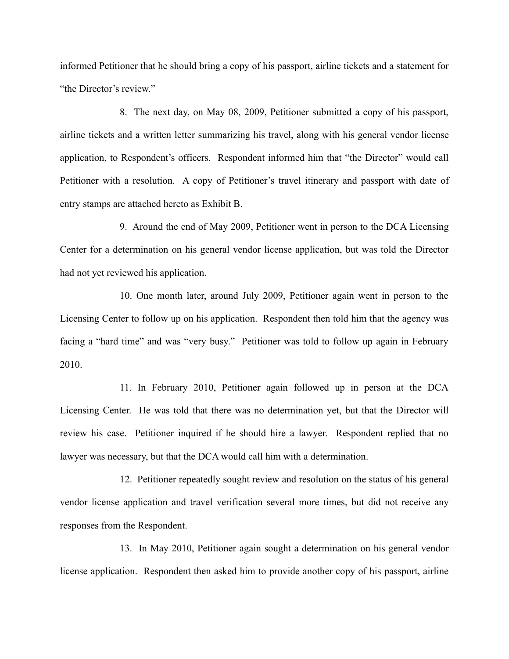informed Petitioner that he should bring a copy of his passport, airline tickets and a statement for "the Director's review."

8. The next day, on May 08, 2009, Petitioner submitted a copy of his passport, airline tickets and a written letter summarizing his travel, along with his general vendor license application, to Respondent's officers. Respondent informed him that "the Director" would call Petitioner with a resolution. A copy of Petitioner's travel itinerary and passport with date of entry stamps are attached hereto as Exhibit B.

9. Around the end of May 2009, Petitioner went in person to the DCA Licensing Center for a determination on his general vendor license application, but was told the Director had not yet reviewed his application.

10. One month later, around July 2009, Petitioner again went in person to the Licensing Center to follow up on his application. Respondent then told him that the agency was facing a "hard time" and was "very busy." Petitioner was told to follow up again in February 2010.

11. In February 2010, Petitioner again followed up in person at the DCA Licensing Center. He was told that there was no determination yet, but that the Director will review his case. Petitioner inquired if he should hire a lawyer. Respondent replied that no lawyer was necessary, but that the DCA would call him with a determination.

12. Petitioner repeatedly sought review and resolution on the status of his general vendor license application and travel verification several more times, but did not receive any responses from the Respondent.

13. In May 2010, Petitioner again sought a determination on his general vendor license application. Respondent then asked him to provide another copy of his passport, airline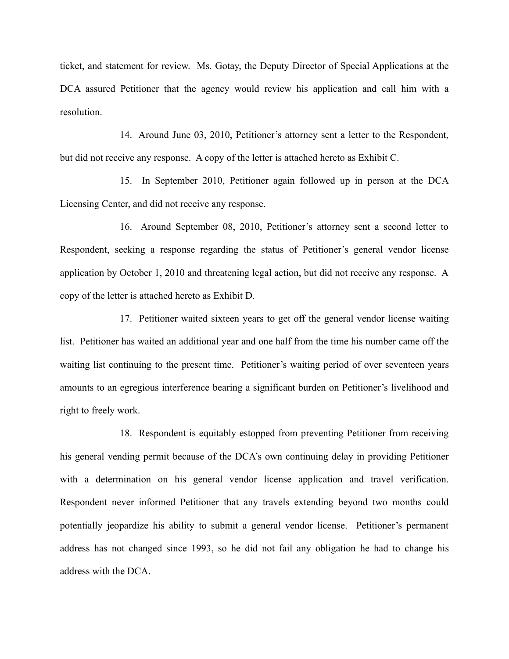ticket, and statement for review. Ms. Gotay, the Deputy Director of Special Applications at the DCA assured Petitioner that the agency would review his application and call him with a resolution.

14. Around June 03, 2010, Petitioner's attorney sent a letter to the Respondent, but did not receive any response. A copy of the letter is attached hereto as Exhibit C.

15. In September 2010, Petitioner again followed up in person at the DCA Licensing Center, and did not receive any response.

16. Around September 08, 2010, Petitioner's attorney sent a second letter to Respondent, seeking a response regarding the status of Petitioner's general vendor license application by October 1, 2010 and threatening legal action, but did not receive any response. A copy of the letter is attached hereto as Exhibit D.

17. Petitioner waited sixteen years to get off the general vendor license waiting list. Petitioner has waited an additional year and one half from the time his number came off the waiting list continuing to the present time. Petitioner's waiting period of over seventeen years amounts to an egregious interference bearing a significant burden on Petitioner's livelihood and right to freely work.

18. Respondent is equitably estopped from preventing Petitioner from receiving his general vending permit because of the DCA's own continuing delay in providing Petitioner with a determination on his general vendor license application and travel verification. Respondent never informed Petitioner that any travels extending beyond two months could potentially jeopardize his ability to submit a general vendor license. Petitioner's permanent address has not changed since 1993, so he did not fail any obligation he had to change his address with the DCA.